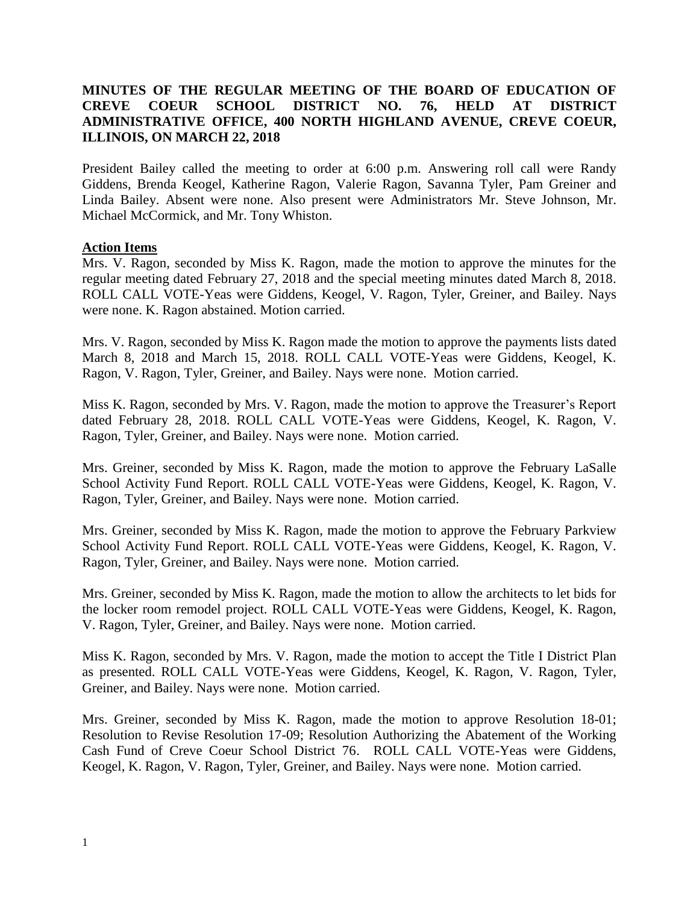## **MINUTES OF THE REGULAR MEETING OF THE BOARD OF EDUCATION OF CREVE COEUR SCHOOL DISTRICT NO. 76, HELD AT DISTRICT ADMINISTRATIVE OFFICE, 400 NORTH HIGHLAND AVENUE, CREVE COEUR, ILLINOIS, ON MARCH 22, 2018**

President Bailey called the meeting to order at 6:00 p.m. Answering roll call were Randy Giddens, Brenda Keogel, Katherine Ragon, Valerie Ragon, Savanna Tyler, Pam Greiner and Linda Bailey. Absent were none. Also present were Administrators Mr. Steve Johnson, Mr. Michael McCormick, and Mr. Tony Whiston.

#### **Action Items**

Mrs. V. Ragon, seconded by Miss K. Ragon, made the motion to approve the minutes for the regular meeting dated February 27, 2018 and the special meeting minutes dated March 8, 2018. ROLL CALL VOTE-Yeas were Giddens, Keogel, V. Ragon, Tyler, Greiner, and Bailey. Nays were none. K. Ragon abstained. Motion carried.

Mrs. V. Ragon, seconded by Miss K. Ragon made the motion to approve the payments lists dated March 8, 2018 and March 15, 2018. ROLL CALL VOTE-Yeas were Giddens, Keogel, K. Ragon, V. Ragon, Tyler, Greiner, and Bailey. Nays were none. Motion carried.

Miss K. Ragon, seconded by Mrs. V. Ragon, made the motion to approve the Treasurer's Report dated February 28, 2018. ROLL CALL VOTE-Yeas were Giddens, Keogel, K. Ragon, V. Ragon, Tyler, Greiner, and Bailey. Nays were none. Motion carried.

Mrs. Greiner, seconded by Miss K. Ragon, made the motion to approve the February LaSalle School Activity Fund Report. ROLL CALL VOTE-Yeas were Giddens, Keogel, K. Ragon, V. Ragon, Tyler, Greiner, and Bailey. Nays were none. Motion carried.

Mrs. Greiner, seconded by Miss K. Ragon, made the motion to approve the February Parkview School Activity Fund Report. ROLL CALL VOTE-Yeas were Giddens, Keogel, K. Ragon, V. Ragon, Tyler, Greiner, and Bailey. Nays were none. Motion carried.

Mrs. Greiner, seconded by Miss K. Ragon, made the motion to allow the architects to let bids for the locker room remodel project. ROLL CALL VOTE-Yeas were Giddens, Keogel, K. Ragon, V. Ragon, Tyler, Greiner, and Bailey. Nays were none. Motion carried.

Miss K. Ragon, seconded by Mrs. V. Ragon, made the motion to accept the Title I District Plan as presented. ROLL CALL VOTE-Yeas were Giddens, Keogel, K. Ragon, V. Ragon, Tyler, Greiner, and Bailey. Nays were none. Motion carried.

Mrs. Greiner, seconded by Miss K. Ragon, made the motion to approve Resolution 18-01; Resolution to Revise Resolution 17-09; Resolution Authorizing the Abatement of the Working Cash Fund of Creve Coeur School District 76. ROLL CALL VOTE-Yeas were Giddens, Keogel, K. Ragon, V. Ragon, Tyler, Greiner, and Bailey. Nays were none. Motion carried.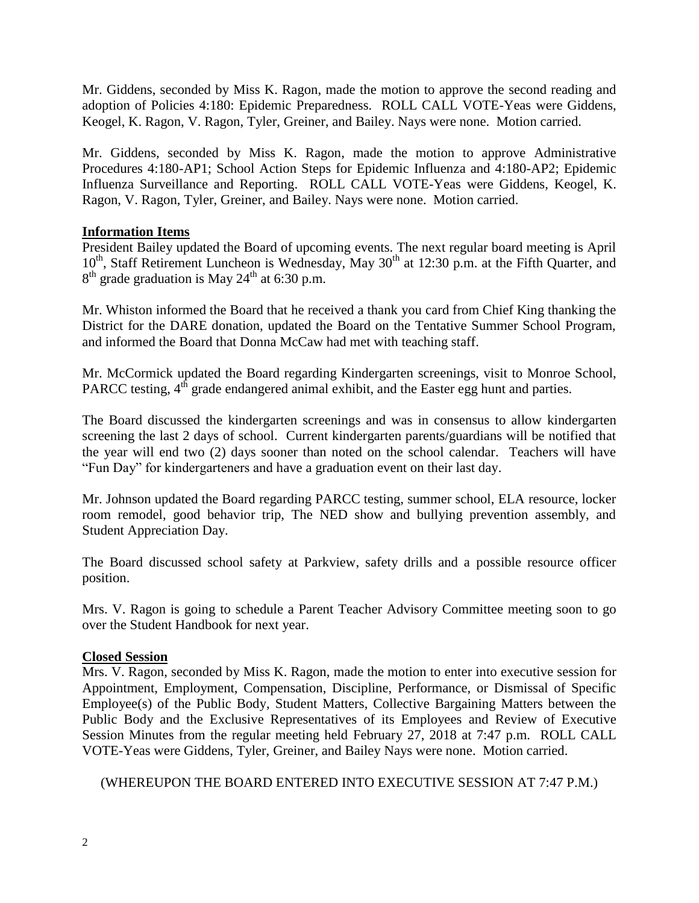Mr. Giddens, seconded by Miss K. Ragon, made the motion to approve the second reading and adoption of Policies 4:180: Epidemic Preparedness. ROLL CALL VOTE-Yeas were Giddens, Keogel, K. Ragon, V. Ragon, Tyler, Greiner, and Bailey. Nays were none. Motion carried.

Mr. Giddens, seconded by Miss K. Ragon, made the motion to approve Administrative Procedures 4:180-AP1; School Action Steps for Epidemic Influenza and 4:180-AP2; Epidemic Influenza Surveillance and Reporting. ROLL CALL VOTE-Yeas were Giddens, Keogel, K. Ragon, V. Ragon, Tyler, Greiner, and Bailey. Nays were none. Motion carried.

### **Information Items**

President Bailey updated the Board of upcoming events. The next regular board meeting is April 10<sup>th</sup>, Staff Retirement Luncheon is Wednesday, May 30<sup>th</sup> at 12:30 p.m. at the Fifth Quarter, and  $8<sup>th</sup>$  grade graduation is May 24<sup>th</sup> at 6:30 p.m.

Mr. Whiston informed the Board that he received a thank you card from Chief King thanking the District for the DARE donation, updated the Board on the Tentative Summer School Program, and informed the Board that Donna McCaw had met with teaching staff.

Mr. McCormick updated the Board regarding Kindergarten screenings, visit to Monroe School, PARCC testing,  $4<sup>th</sup>$  grade endangered animal exhibit, and the Easter egg hunt and parties.

The Board discussed the kindergarten screenings and was in consensus to allow kindergarten screening the last 2 days of school. Current kindergarten parents/guardians will be notified that the year will end two (2) days sooner than noted on the school calendar. Teachers will have "Fun Day" for kindergarteners and have a graduation event on their last day.

Mr. Johnson updated the Board regarding PARCC testing, summer school, ELA resource, locker room remodel, good behavior trip, The NED show and bullying prevention assembly, and Student Appreciation Day.

The Board discussed school safety at Parkview, safety drills and a possible resource officer position.

Mrs. V. Ragon is going to schedule a Parent Teacher Advisory Committee meeting soon to go over the Student Handbook for next year.

### **Closed Session**

Mrs. V. Ragon, seconded by Miss K. Ragon, made the motion to enter into executive session for Appointment, Employment, Compensation, Discipline, Performance, or Dismissal of Specific Employee(s) of the Public Body, Student Matters, Collective Bargaining Matters between the Public Body and the Exclusive Representatives of its Employees and Review of Executive Session Minutes from the regular meeting held February 27, 2018 at 7:47 p.m. ROLL CALL VOTE-Yeas were Giddens, Tyler, Greiner, and Bailey Nays were none. Motion carried.

# (WHEREUPON THE BOARD ENTERED INTO EXECUTIVE SESSION AT 7:47 P.M.)